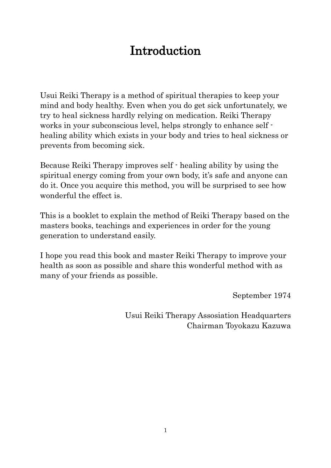# Introduction

Usui Reiki Therapy is a method of spiritual therapies to keep your mind and body healthy. Even when you do get sick unfortunately, we try to heal sickness hardly relying on medication. Reiki Therapy works in your subconscious level, helps strongly to enhance self healing ability which exists in your body and tries to heal sickness or prevents from becoming sick.

Because Reiki Therapy improves self - healing ability by using the spiritual energy coming from your own body, it's safe and anyone can do it. Once you acquire this method, you will be surprised to see how wonderful the effect is.

This is a booklet to explain the method of Reiki Therapy based on the masters books, teachings and experiences in order for the young generation to understand easily.

I hope you read this book and master Reiki Therapy to improve your health as soon as possible and share this wonderful method with as many of your friends as possible.

September 1974

Usui Reiki Therapy Assosiation Headquarters Chairman Toyokazu Kazuwa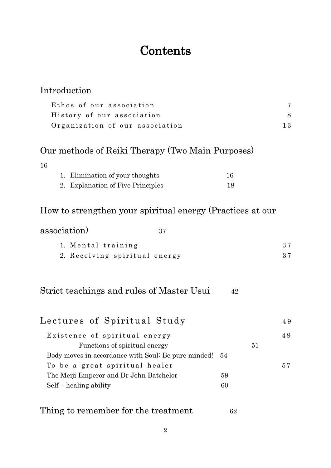# **Contents**

| Introduction                                              |    |    |    |  |
|-----------------------------------------------------------|----|----|----|--|
| Ethos of our association                                  |    |    | 7  |  |
| History of our association                                |    |    | 8  |  |
| Organization of our association                           |    |    |    |  |
| Our methods of Reiki Therapy (Two Main Purposes)          |    |    |    |  |
| 16                                                        |    |    |    |  |
| 1. Elimination of your thoughts                           | 16 |    |    |  |
| 2. Explanation of Five Principles                         | 18 |    |    |  |
| How to strengthen your spiritual energy (Practices at our |    |    |    |  |
| association)<br>37                                        |    |    |    |  |
| 1. Mental training                                        |    |    | 37 |  |
| 2. Receiving spiritual energy                             |    |    | 37 |  |
| Strict teachings and rules of Master Usui                 | 42 |    |    |  |
| Lectures of Spiritual Study                               |    |    | 49 |  |
| Existence of spiritual energy                             |    |    | 49 |  |
| Functions of spiritual energy                             |    | 51 |    |  |
| Body moves in accordance with Soul: Be pure minded!       | 54 |    |    |  |
| To be a great spiritual healer                            |    |    | 57 |  |
| The Meiji Emperor and Dr John Batchelor                   | 59 |    |    |  |
| $Self - healing ability$                                  | 60 |    |    |  |
| Thing to remember for the treatment                       | 62 |    |    |  |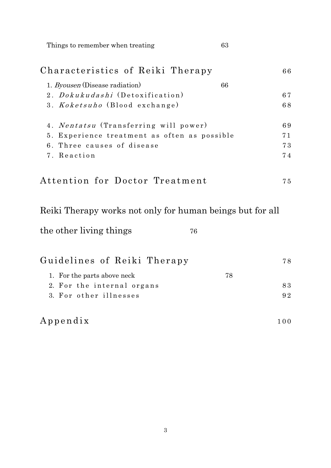Things to remember when treating 63

| Characteristics of Reiki Therapy                          | 66  |  |
|-----------------------------------------------------------|-----|--|
| 1. <i>Byousen</i> (Disease radiation)<br>66               |     |  |
| 2. <i>Dokukudashi</i> (Detoxification)                    | 67  |  |
| 3. Koketsuho (Blood exchange)                             | 68  |  |
| 4. Nentatsu (Transferring will power)                     | 69  |  |
| 5. Experience treatment as often as possible              |     |  |
| 6. Three causes of disease                                | 73  |  |
| 7. Reaction                                               | 74  |  |
| Attention for Doctor Treatment                            | 75  |  |
| Reiki Therapy works not only for human beings but for all |     |  |
| the other living things<br>76                             |     |  |
| Guidelines of Reiki Therapy                               | 78  |  |
| 1. For the parts above neck<br>78                         |     |  |
| 2. For the internal organs                                | 83  |  |
| 3. For other illnesses                                    | 92  |  |
| $A$ ppendix                                               | 100 |  |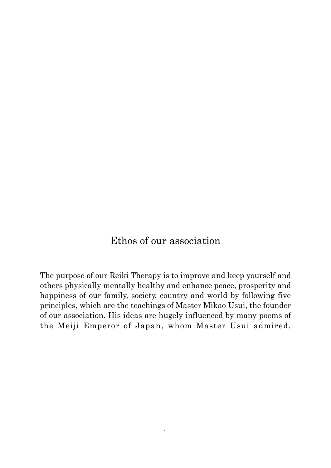# Ethos of our association

The purpose of our Reiki Therapy is to improve and keep yourself and others physically mentally healthy and enhance peace, prosperity and happiness of our family, society, country and world by following five principles, which are the teachings of Master Mikao Usui, the founder of our association. His ideas are hugely influenced by many poems of the Meiji Emperor of Japan, whom Master Usui admired.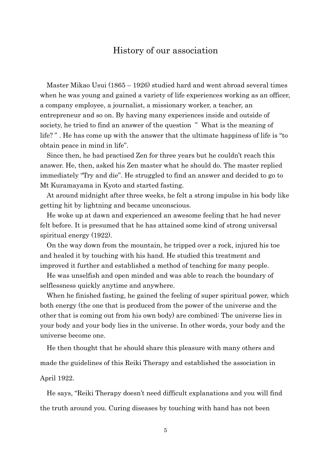# History of our association

Master Mikao Usui (1865 – 1926) studied hard and went abroad several times when he was young and gained a variety of life experiences working as an officer, a company employee, a journalist, a missionary worker, a teacher, an entrepreneur and so on. By having many experiences inside and outside of society, he tried to find an answer of the question "What is the meaning of life? " . He has come up with the answer that the ultimate happiness of life is "to obtain peace in mind in life".

Since then, he had practised Zen for three years but he couldn't reach this answer. He, then, asked his Zen master what he should do. The master replied immediately "Try and die". He struggled to find an answer and decided to go to Mt Kuramayama in Kyoto and started fasting.

At around midnight after three weeks, he felt a strong impulse in his body like getting hit by lightning and became unconscious.

He woke up at dawn and experienced an awesome feeling that he had never felt before. It is presumed that he has attained some kind of strong universal spiritual energy (1922).

On the way down from the mountain, he tripped over a rock, injured his toe and healed it by touching with his hand. He studied this treatment and improved it further and established a method of teaching for many people.

He was unselfish and open minded and was able to reach the boundary of selflessness quickly anytime and anywhere.

When he finished fasting, he gained the feeling of super spiritual power, which both energy (the one that is produced from the power of the universe and the other that is coming out from his own body) are combined: The universe lies in your body and your body lies in the universe. In other words, your body and the universe become one.

He then thought that he should share this pleasure with many others and made the guidelines of this Reiki Therapy and established the association in April 1922.

He says, "Reiki Therapy doesn't need difficult explanations and you will find the truth around you. Curing diseases by touching with hand has not been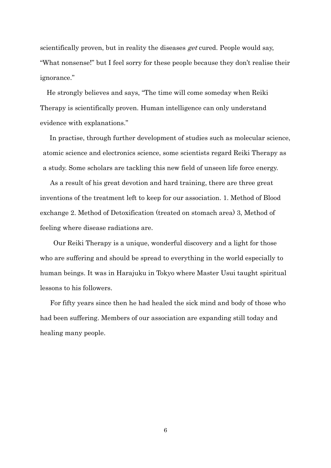scientifically proven, but in reality the diseases *get* cured. People would say, "What nonsense!" but I feel sorry for these people because they don't realise their ignorance."

He strongly believes and says, "The time will come someday when Reiki Therapy is scientifically proven. Human intelligence can only understand evidence with explanations."

In practise, through further development of studies such as molecular science, atomic science and electronics science, some scientists regard Reiki Therapy as a study. Some scholars are tackling this new field of unseen life force energy.

As a result of his great devotion and hard training, there are three great inventions of the treatment left to keep for our association. 1. Method of Blood exchange 2. Method of Detoxification (treated on stomach area) 3, Method of feeling where disease radiations are.

Our Reiki Therapy is a unique, wonderful discovery and a light for those who are suffering and should be spread to everything in the world especially to human beings. It was in Harajuku in Tokyo where Master Usui taught spiritual lessons to his followers.

For fifty years since then he had healed the sick mind and body of those who had been suffering. Members of our association are expanding still today and healing many people.

6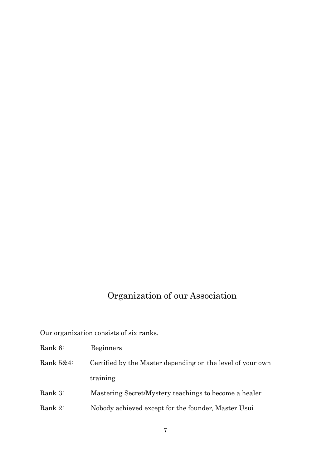# Organization of our Association

Our organization consists of six ranks.

- Rank 6: Beginners
- Rank 5&4: Certified by the Master depending on the level of your own training
- Rank 3: Mastering Secret/Mystery teachings to become a healer
- Rank 2: Nobody achieved except for the founder, Master Usui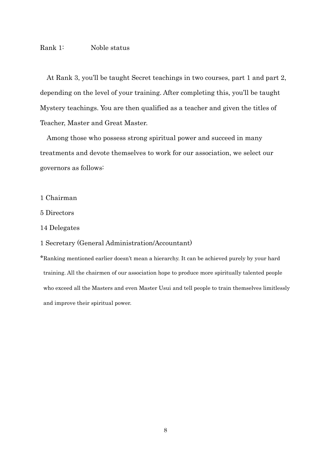#### Rank 1: Noble status

At Rank 3, you'll be taught Secret teachings in two courses, part 1 and part 2, depending on the level of your training. After completing this, you'll be taught Mystery teachings. You are then qualified as a teacher and given the titles of Teacher, Master and Great Master.

 Among those who possess strong spiritual power and succeed in many treatments and devote themselves to work for our association, we select our governors as follows:

- 1 Chairman
- 5 Directors
- 14 Delegates

#### 1 Secretary (General Administration/Accountant)

\*Ranking mentioned earlier doesn't mean a hierarchy. It can be achieved purely by your hard training. All the chairmen of our association hope to produce more spiritually talented people who exceed all the Masters and even Master Usui and tell people to train themselves limitlessly and improve their spiritual power.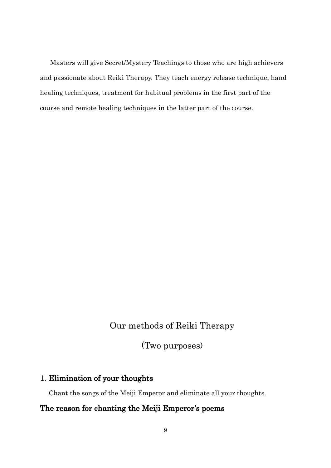Masters will give Secret/Mystery Teachings to those who are high achievers and passionate about Reiki Therapy. They teach energy release technique, hand healing techniques, treatment for habitual problems in the first part of the course and remote healing techniques in the latter part of the course.

# Our methods of Reiki Therapy

(Two purposes)

# 1. Elimination of your thoughts

Chant the songs of the Meiji Emperor and eliminate all your thoughts.

# The reason for chanting the Meiji Emperor's poems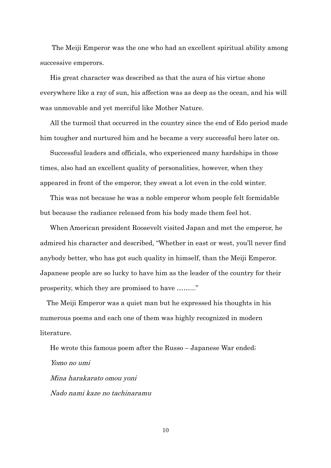The Meiji Emperor was the one who had an excellent spiritual ability among successive emperors.

 His great character was described as that the aura of his virtue shone everywhere like a ray of sun, his affection was as deep as the ocean, and his will was unmovable and yet merciful like Mother Nature.

 All the turmoil that occurred in the country since the end of Edo period made him tougher and nurtured him and he became a very successful hero later on.

Successful leaders and officials, who experienced many hardships in those times, also had an excellent quality of personalities, however, when they appeared in front of the emperor, they sweat a lot even in the cold winter.

This was not because he was a noble emperor whom people felt formidable but because the radiance released from his body made them feel hot.

When American president Roosevelt visited Japan and met the emperor, he admired his character and described, "Whether in east or west, you'll never find anybody better, who has got such quality in himself, than the Meiji Emperor. Japanese people are so lucky to have him as the leader of the country for their prosperity, which they are promised to have ……..."

 The Meiji Emperor was a quiet man but he expressed his thoughts in his numerous poems and each one of them was highly recognized in modern literature.

 He wrote this famous poem after the Russo – Japanese War ended; Yomo no umi Mina harakarato omou yoni Nado nami kaze no tachinaramu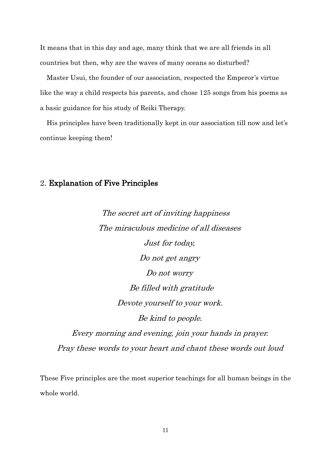It means that in this day and age, many think that we are all friends in all countries but then, why are the waves of many oceans so disturbed?

 Master Usui, the founder of our association, respected the Emperor's virtue like the way a child respects his parents, and chose 125 songs from his poems as a basic guidance for his study of Reiki Therapy.

 His principles have been traditionally kept in our association till now and let's continue keeping them!

### 2. Explanation of Five Principles

The secret art of inviting happiness The miraculous medicine of all diseases Just for today, Do not get angry Do not worry Be filled with gratitude Devote yourself to your work. Be kind to people.

Every morning and evening, join your hands in prayer. Pray these words to your heart and chant these words out loud

These Five principles are the most superior teachings for all human beings in the whole world.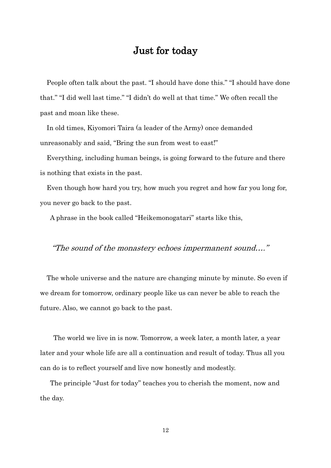# Just for today

People often talk about the past. "I should have done this." "I should have done that." "I did well last time." "I didn't do well at that time." We often recall the past and moan like these.

 In old times, Kiyomori Taira (a leader of the Army) once demanded unreasonably and said, "Bring the sun from west to east!"

 Everything, including human beings, is going forward to the future and there is nothing that exists in the past.

 Even though how hard you try, how much you regret and how far you long for, you never go back to the past.

A phrase in the book called "Heikemonogatari" starts like this,

### "The sound of the monastery echoes impermanent sound…."

The whole universe and the nature are changing minute by minute. So even if we dream for tomorrow, ordinary people like us can never be able to reach the future. Also, we cannot go back to the past.

 The world we live in is now. Tomorrow, a week later, a month later, a year later and your whole life are all a continuation and result of today. Thus all you can do is to reflect yourself and live now honestly and modestly.

The principle "Just for today" teaches you to cherish the moment, now and the day.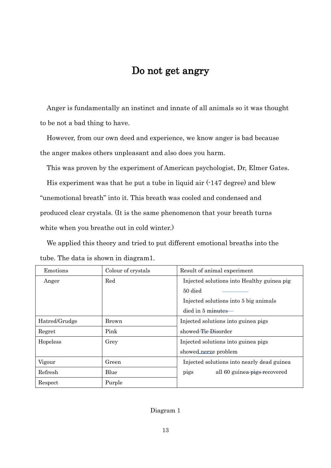# Do not get angry

Anger is fundamentally an instinct and innate of all animals so it was thought to be not a bad thing to have.

However, from our own deed and experience, we know anger is bad because the anger makes others unpleasant and also does you harm.

This was proven by the experiment of American psychologist, Dr, Elmer Gates.

His experiment was that he put a tube in liquid air (-147 degree) and blew "unemotional breath" into it. This breath was cooled and condensed and produced clear crystals. (It is the same phenomenon that your breath turns white when you breathe out in cold winter.)

We applied this theory and tried to put different emotional breaths into the tube. The data is shown in diagram1.

| Emotions      | Colour of crystals | Result of animal experiment                |  |
|---------------|--------------------|--------------------------------------------|--|
| Anger         | Red                | Injected solutions into Healthy guinea pig |  |
|               |                    | 50 died                                    |  |
|               |                    | Injected solutions into 5 big animals      |  |
|               |                    | died in 5 mi <del>nutes</del> —            |  |
| Hatred/Grudge | Brown              | Injected solutions into guinea pigs        |  |
| Regret        | Pink               | showed <del>Tic Dis</del> order            |  |
| Hopeless      | Grey               | Injected solutions into guinea pigs        |  |
|               |                    | showed nerve problem                       |  |
| Vigour        | Green              | Injected solutions into nearly dead guinea |  |
| Refresh       | Blue               | all 60 guinea pigs recovered<br>pigs       |  |
| Respect       | Purple             |                                            |  |

#### Diagram 1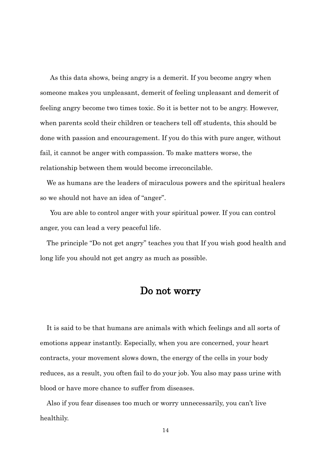As this data shows, being angry is a demerit. If you become angry when someone makes you unpleasant, demerit of feeling unpleasant and demerit of feeling angry become two times toxic. So it is better not to be angry. However, when parents scold their children or teachers tell off students, this should be done with passion and encouragement. If you do this with pure anger, without fail, it cannot be anger with compassion. To make matters worse, the relationship between them would become irreconcilable.

We as humans are the leaders of miraculous powers and the spiritual healers so we should not have an idea of "anger".

You are able to control anger with your spiritual power. If you can control anger, you can lead a very peaceful life.

The principle "Do not get angry" teaches you that If you wish good health and long life you should not get angry as much as possible.

# Do not worry

It is said to be that humans are animals with which feelings and all sorts of emotions appear instantly. Especially, when you are concerned, your heart contracts, your movement slows down, the energy of the cells in your body reduces, as a result, you often fail to do your job. You also may pass urine with blood or have more chance to suffer from diseases.

Also if you fear diseases too much or worry unnecessarily, you can't live healthily.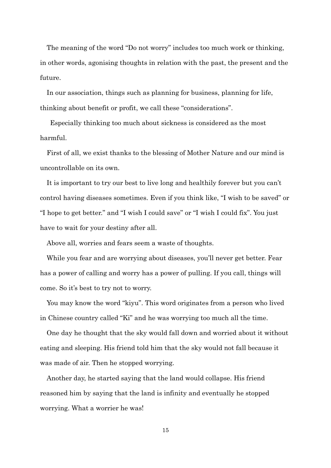The meaning of the word "Do not worry" includes too much work or thinking, in other words, agonising thoughts in relation with the past, the present and the future.

In our association, things such as planning for business, planning for life, thinking about benefit or profit, we call these "considerations".

Especially thinking too much about sickness is considered as the most harmful.

First of all, we exist thanks to the blessing of Mother Nature and our mind is uncontrollable on its own.

It is important to try our best to live long and healthily forever but you can't control having diseases sometimes. Even if you think like, "I wish to be saved" or "I hope to get better." and "I wish I could save" or "I wish I could fix". You just have to wait for your destiny after all.

Above all, worries and fears seem a waste of thoughts.

While you fear and are worrying about diseases, you'll never get better. Fear has a power of calling and worry has a power of pulling. If you call, things will come. So it's best to try not to worry.

You may know the word "kiyu". This word originates from a person who lived in Chinese country called "Ki" and he was worrying too much all the time.

One day he thought that the sky would fall down and worried about it without eating and sleeping. His friend told him that the sky would not fall because it was made of air. Then he stopped worrying.

Another day, he started saying that the land would collapse. His friend reasoned him by saying that the land is infinity and eventually he stopped worrying. What a worrier he was!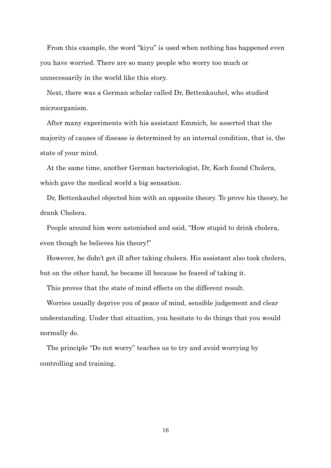From this example, the word "kiyu" is used when nothing has happened even you have worried. There are so many people who worry too much or unnecessarily in the world like this story.

Next, there was a German scholar called Dr, Bettenkauhel, who studied microorganism.

After many experiments with his assistant Emmich, he asserted that the majority of causes of disease is determined by an internal condition, that is, the state of your mind.

At the same time, another German bacteriologist, Dr, Koch found Cholera, which gave the medical world a big sensation.

Dr, Bettenkauhel objected him with an opposite theory. To prove his theory, he drank Cholera.

People around him were astonished and said, "How stupid to drink cholera, even though he believes his theory!"

However, he didn't get ill after taking cholera. His assistant also took cholera, but on the other hand, he became ill because he feared of taking it.

This proves that the state of mind effects on the different result.

Worries usually deprive you of peace of mind, sensible judgement and clear understanding. Under that situation, you hesitate to do things that you would normally do.

The principle "Do not worry" teaches us to try and avoid worrying by controlling and training.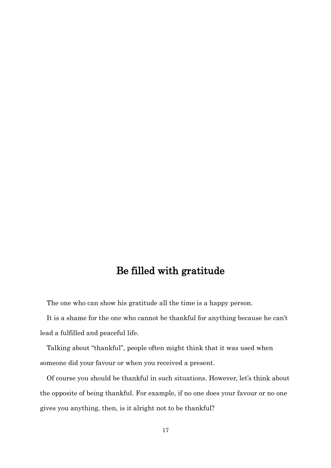# Be filled with gratitude

The one who can show his gratitude all the time is a happy person.

It is a shame for the one who cannot be thankful for anything because he can't lead a fulfilled and peaceful life.

Talking about "thankful", people often might think that it was used when someone did your favour or when you received a present.

Of course you should be thankful in such situations. However, let's think about the opposite of being thankful. For example, if no one does your favour or no one gives you anything, then, is it alright not to be thankful?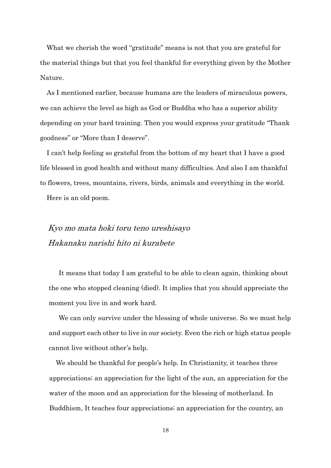What we cherish the word "gratitude" means is not that you are grateful for the material things but that you feel thankful for everything given by the Mother Nature.

As I mentioned earlier, because humans are the leaders of miraculous powers, we can achieve the level as high as God or Buddha who has a superior ability depending on your hard training. Then you would express your gratitude "Thank goodness" or "More than I deserve".

I can't help feeling so grateful from the bottom of my heart that I have a good life blessed in good health and without many difficulties. And also I am thankful to flowers, trees, mountains, rivers, birds, animals and everything in the world.

Here is an old poem.

# Kyo mo mata hoki toru teno ureshisayo Hakanaku narishi hito ni kurabete

It means that today I am grateful to be able to clean again, thinking about the one who stopped cleaning (died). It implies that you should appreciate the moment you live in and work hard.

We can only survive under the blessing of whole universe. So we must help and support each other to live in our society. Even the rich or high status people cannot live without other's help.

 We should be thankful for people's help. In Christianity, it teaches three appreciations; an appreciation for the light of the sun, an appreciation for the water of the moon and an appreciation for the blessing of motherland. In Buddhism, It teaches four appreciations; an appreciation for the country, an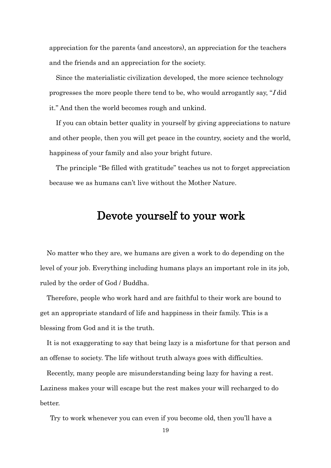appreciation for the parents (and ancestors), an appreciation for the teachers and the friends and an appreciation for the society.

 Since the materialistic civilization developed, the more science technology progresses the more people there tend to be, who would arrogantly say, "I did it." And then the world becomes rough and unkind.

 If you can obtain better quality in yourself by giving appreciations to nature and other people, then you will get peace in the country, society and the world, happiness of your family and also your bright future.

 The principle "Be filled with gratitude" teaches us not to forget appreciation because we as humans can't live without the Mother Nature.

# Devote yourself to your work

No matter who they are, we humans are given a work to do depending on the level of your job. Everything including humans plays an important role in its job, ruled by the order of God / Buddha.

Therefore, people who work hard and are faithful to their work are bound to get an appropriate standard of life and happiness in their family. This is a blessing from God and it is the truth.

It is not exaggerating to say that being lazy is a misfortune for that person and an offense to society. The life without truth always goes with difficulties.

Recently, many people are misunderstanding being lazy for having a rest. Laziness makes your will escape but the rest makes your will recharged to do better.

Try to work whenever you can even if you become old, then you'll have a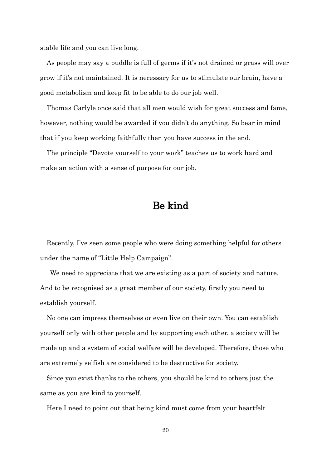stable life and you can live long.

As people may say a puddle is full of germs if it's not drained or grass will over grow if it's not maintained. It is necessary for us to stimulate our brain, have a good metabolism and keep fit to be able to do our job well.

Thomas Carlyle once said that all men would wish for great success and fame, however, nothing would be awarded if you didn't do anything. So bear in mind that if you keep working faithfully then you have success in the end.

The principle "Devote yourself to your work" teaches us to work hard and make an action with a sense of purpose for our job.

# Be kind

Recently, I've seen some people who were doing something helpful for others under the name of "Little Help Campaign".

We need to appreciate that we are existing as a part of society and nature. And to be recognised as a great member of our society, firstly you need to establish yourself.

No one can impress themselves or even live on their own. You can establish yourself only with other people and by supporting each other, a society will be made up and a system of social welfare will be developed. Therefore, those who are extremely selfish are considered to be destructive for society.

Since you exist thanks to the others, you should be kind to others just the same as you are kind to yourself.

Here I need to point out that being kind must come from your heartfelt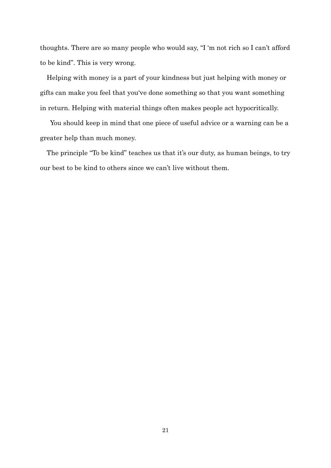thoughts. There are so many people who would say, "I 'm not rich so I can't afford to be kind". This is very wrong.

Helping with money is a part of your kindness but just helping with money or gifts can make you feel that you've done something so that you want something in return. Helping with material things often makes people act hypocritically.

You should keep in mind that one piece of useful advice or a warning can be a greater help than much money.

The principle "To be kind" teaches us that it's our duty, as human beings, to try our best to be kind to others since we can't live without them.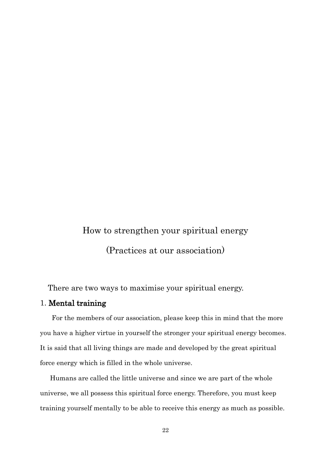# How to strengthen your spiritual energy (Practices at our association)

There are two ways to maximise your spiritual energy.

#### 1. Mental training

 For the members of our association, please keep this in mind that the more you have a higher virtue in yourself the stronger your spiritual energy becomes. It is said that all living things are made and developed by the great spiritual force energy which is filled in the whole universe.

 Humans are called the little universe and since we are part of the whole universe, we all possess this spiritual force energy. Therefore, you must keep training yourself mentally to be able to receive this energy as much as possible.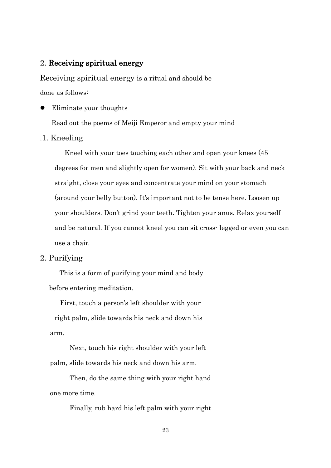#### 2. Receiving spiritual energy

Receiving spiritual energy is a ritual and should be done as follows:

Eliminate your thoughts

Read out the poems of Meiji Emperor and empty your mind

#### .1. Kneeling

Kneel with your toes touching each other and open your knees (45 degrees for men and slightly open for women). Sit with your back and neck straight, close your eyes and concentrate your mind on your stomach (around your belly button). It's important not to be tense here. Loosen up your shoulders. Don't grind your teeth. Tighten your anus. Relax yourself and be natural. If you cannot kneel you can sit cross- legged or even you can use a chair.

#### 2. Purifying

 This is a form of purifying your mind and body before entering meditation.

 First, touch a person's left shoulder with your right palm, slide towards his neck and down his arm.

Next, touch his right shoulder with your left palm, slide towards his neck and down his arm.

Then, do the same thing with your right hand one more time.

Finally, rub hard his left palm with your right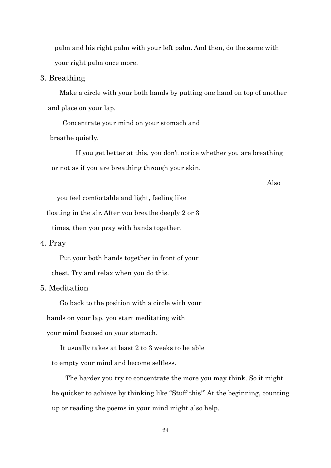palm and his right palm with your left palm. And then, do the same with your right palm once more.

#### 3. Breathing

 Make a circle with your both hands by putting one hand on top of another and place on your lap.

Concentrate your mind on your stomach and

breathe quietly.

If you get better at this, you don't notice whether you are breathing or not as if you are breathing through your skin.

Also

you feel comfortable and light, feeling like

floating in the air. After you breathe deeply 2 or 3

times, then you pray with hands together.

4. Pray

 Put your both hands together in front of your chest. Try and relax when you do this.

#### 5. Meditation

Go back to the position with a circle with your

hands on your lap, you start meditating with

your mind focused on your stomach.

 It usually takes at least 2 to 3 weeks to be able to empty your mind and become selfless.

The harder you try to concentrate the more you may think. So it might be quicker to achieve by thinking like "Stuff this!" At the beginning, counting up or reading the poems in your mind might also help.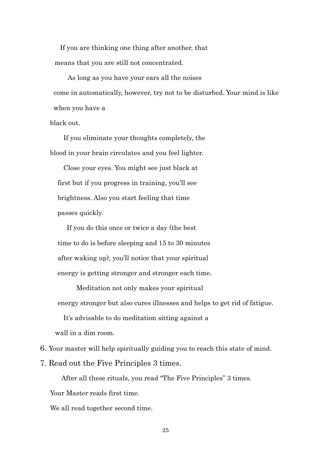If you are thinking one thing after another, that means that you are still not concentrated.

 As long as you have your ears all the noises come in automatically, however, try not to be disturbed. Your mind is like when you have a

black out.

 If you eliminate your thoughts completely, the blood in your brain circulates and you feel lighter.

 Close your eyes. You might see just black at first but if you progress in training, you'll see brightness. Also you start feeling that time passes quickly.

 If you do this once or twice a day (the best time to do is before sleeping and 15 to 30 minutes after waking up), you'll notice that your spiritual energy is getting stronger and stronger each time.

Meditation not only makes your spiritual energy stronger but also cures illnesses and helps to get rid of fatigue.

It's advisable to do meditation sitting against a

wall in a dim room.

6. Your master will help spiritually guiding you to reach this state of mind.

7. Read out the Five Principles 3 times.

After all these rituals, you read "The Five Principles" 3 times.

Your Master reads first time.

We all read together second time.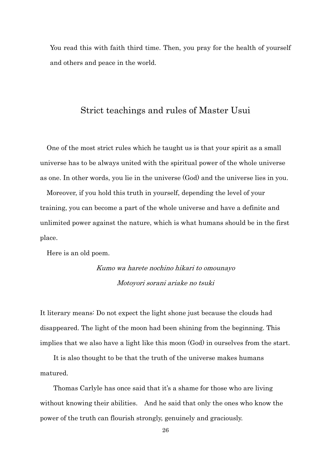You read this with faith third time. Then, you pray for the health of yourself and others and peace in the world.

# Strict teachings and rules of Master Usui

One of the most strict rules which he taught us is that your spirit as a small universe has to be always united with the spiritual power of the whole universe as one. In other words, you lie in the universe (God) and the universe lies in you.

 Moreover, if you hold this truth in yourself, depending the level of your training, you can become a part of the whole universe and have a definite and unlimited power against the nature, which is what humans should be in the first place.

Here is an old poem.

# Kumo wa harete nochino hikari to omounayo Motoyori sorani ariake no tsuki

It literary means: Do not expect the light shone just because the clouds had disappeared. The light of the moon had been shining from the beginning. This implies that we also have a light like this moon (God) in ourselves from the start.

 It is also thought to be that the truth of the universe makes humans matured.

Thomas Carlyle has once said that it's a shame for those who are living without knowing their abilities. And he said that only the ones who know the power of the truth can flourish strongly, genuinely and graciously.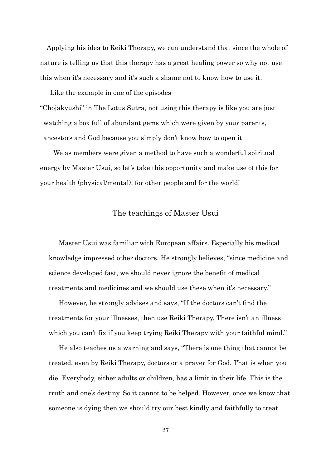Applying his idea to Reiki Therapy, we can understand that since the whole of nature is telling us that this therapy has a great healing power so why not use this when it's necessary and it's such a shame not to know how to use it.

Like the example in one of the episodes

"Chojakyushi" in The Lotus Sutra, not using this therapy is like you are just watching a box full of abundant gems which were given by your parents, ancestors and God because you simply don't know how to open it.

 We as members were given a method to have such a wonderful spiritual energy by Master Usui, so let's take this opportunity and make use of this for your health (physical/mental), for other people and for the world!

#### The teachings of Master Usui

Master Usui was familiar with European affairs. Especially his medical knowledge impressed other doctors. He strongly believes, "since medicine and science developed fast, we should never ignore the benefit of medical treatments and medicines and we should use these when it's necessary."

However, he strongly advises and says, "If the doctors can't find the treatments for your illnesses, then use Reiki Therapy. There isn't an illness which you can't fix if you keep trying Reiki Therapy with your faithful mind."

He also teaches us a warning and says, "There is one thing that cannot be treated, even by Reiki Therapy, doctors or a prayer for God. That is when you die. Everybody, either adults or children, has a limit in their life. This is the truth and one's destiny. So it cannot to be helped. However, once we know that someone is dying then we should try our best kindly and faithfully to treat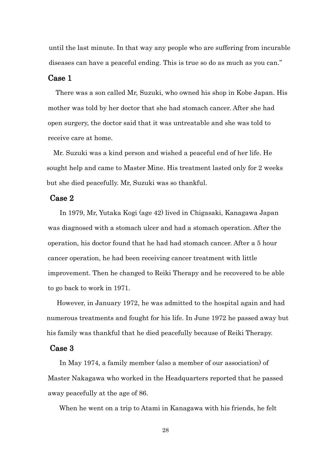until the last minute. In that way any people who are suffering from incurable diseases can have a peaceful ending. This is true so do as much as you can."

#### Case 1

 There was a son called Mr, Suzuki, who owned his shop in Kobe Japan. His mother was told by her doctor that she had stomach cancer. After she had open surgery, the doctor said that it was untreatable and she was told to receive care at home.

 Mr. Suzuki was a kind person and wished a peaceful end of her life. He sought help and came to Master Mine. His treatment lasted only for 2 weeks but she died peacefully. Mr, Suzuki was so thankful.

#### Case 2

 In 1979, Mr, Yutaka Kogi (age 42) lived in Chigasaki, Kanagawa Japan was diagnosed with a stomach ulcer and had a stomach operation. After the operation, his doctor found that he had had stomach cancer. After a 5 hour cancer operation, he had been receiving cancer treatment with little improvement. Then he changed to Reiki Therapy and he recovered to be able to go back to work in 1971.

 However, in January 1972, he was admitted to the hospital again and had numerous treatments and fought for his life. In June 1972 he passed away but his family was thankful that he died peacefully because of Reiki Therapy.

#### Case 3

 In May 1974, a family member (also a member of our association) of Master Nakagawa who worked in the Headquarters reported that he passed away peacefully at the age of 86.

When he went on a trip to Atami in Kanagawa with his friends, he felt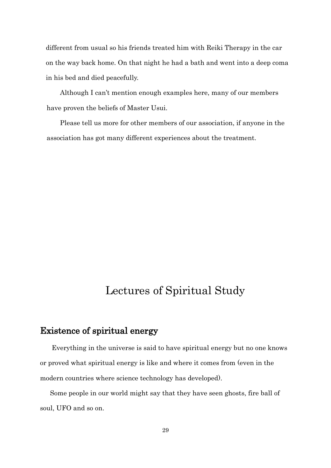different from usual so his friends treated him with Reiki Therapy in the car on the way back home. On that night he had a bath and went into a deep coma in his bed and died peacefully.

 Although I can't mention enough examples here, many of our members have proven the beliefs of Master Usui.

 Please tell us more for other members of our association, if anyone in the association has got many different experiences about the treatment.

# Lectures of Spiritual Study

# Existence of spiritual energy

 Everything in the universe is said to have spiritual energy but no one knows or proved what spiritual energy is like and where it comes from (even in the modern countries where science technology has developed).

 Some people in our world might say that they have seen ghosts, fire ball of soul, UFO and so on.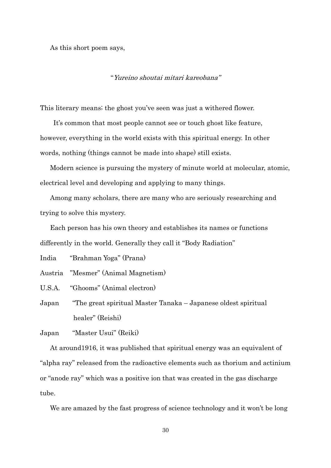As this short poem says,

"Yureino shoutai mitari kareobana"

This literary means; the ghost you've seen was just a withered flower.

 It's common that most people cannot see or touch ghost like feature, however, everything in the world exists with this spiritual energy. In other words, nothing (things cannot be made into shape) still exists.

 Modern science is pursuing the mystery of minute world at molecular, atomic, electrical level and developing and applying to many things.

 Among many scholars, there are many who are seriously researching and trying to solve this mystery.

Each person has his own theory and establishes its names or functions differently in the world. Generally they call it "Body Radiation"

India "Brahman Yoga" (Prana)

Austria "Mesmer" (Animal Magnetism)

U.S.A. "Ghooms" (Animal electron)

Japan "The great spiritual Master Tanaka – Japanese oldest spiritual healer" (Reishi)

Japan "Master Usui" (Reiki)

 At around1916, it was published that spiritual energy was an equivalent of "alpha ray" released from the radioactive elements such as thorium and actinium or "anode ray" which was a positive ion that was created in the gas discharge tube.

We are amazed by the fast progress of science technology and it won't be long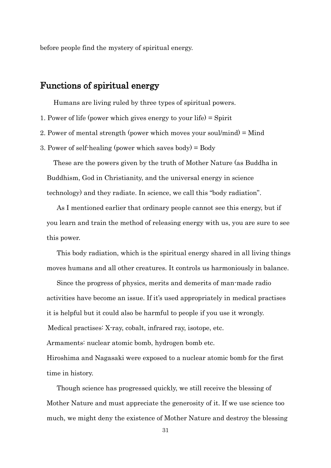before people find the mystery of spiritual energy.

# Functions of spiritual energy

Humans are living ruled by three types of spiritual powers.

- 1. Power of life (power which gives energy to your life) = Spirit
- 2. Power of mental strength (power which moves your soul/mind) = Mind
- 3. Power of self-healing (power which saves body) = Body

 These are the powers given by the truth of Mother Nature (as Buddha in Buddhism, God in Christianity, and the universal energy in science technology) and they radiate. In science, we call this "body radiation".

 As I mentioned earlier that ordinary people cannot see this energy, but if you learn and train the method of releasing energy with us, you are sure to see this power.

 This body radiation, which is the spiritual energy shared in all living things moves humans and all other creatures. It controls us harmoniously in balance.

 Since the progress of physics, merits and demerits of man-made radio activities have become an issue. If it's used appropriately in medical practises it is helpful but it could also be harmful to people if you use it wrongly. Medical practises: X-ray, cobalt, infrared ray, isotope, etc. Armaments: nuclear atomic bomb, hydrogen bomb etc. Hiroshima and Nagasaki were exposed to a nuclear atomic bomb for the first time in history.

 Though science has progressed quickly, we still receive the blessing of Mother Nature and must appreciate the generosity of it. If we use science too much, we might deny the existence of Mother Nature and destroy the blessing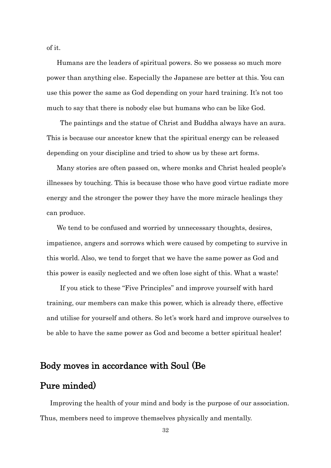of it.

 Humans are the leaders of spiritual powers. So we possess so much more power than anything else. Especially the Japanese are better at this. You can use this power the same as God depending on your hard training. It's not too much to say that there is nobody else but humans who can be like God.

 The paintings and the statue of Christ and Buddha always have an aura. This is because our ancestor knew that the spiritual energy can be released depending on your discipline and tried to show us by these art forms.

 Many stories are often passed on, where monks and Christ healed people's illnesses by touching. This is because those who have good virtue radiate more energy and the stronger the power they have the more miracle healings they can produce.

We tend to be confused and worried by unnecessary thoughts, desires, impatience, angers and sorrows which were caused by competing to survive in this world. Also, we tend to forget that we have the same power as God and this power is easily neglected and we often lose sight of this. What a waste!

 If you stick to these "Five Principles" and improve yourself with hard training, our members can make this power, which is already there, effective and utilise for yourself and others. So let's work hard and improve ourselves to be able to have the same power as God and become a better spiritual healer!

# Body moves in accordance with Soul (Be

# Pure minded)

Improving the health of your mind and body is the purpose of our association. Thus, members need to improve themselves physically and mentally.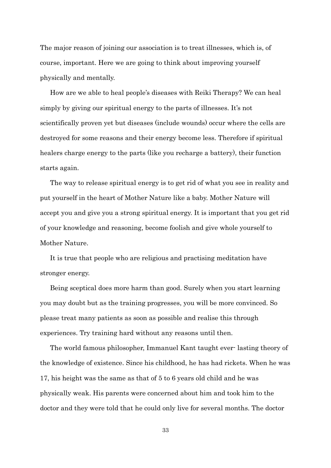The major reason of joining our association is to treat illnesses, which is, of course, important. Here we are going to think about improving yourself physically and mentally.

 How are we able to heal people's diseases with Reiki Therapy? We can heal simply by giving our spiritual energy to the parts of illnesses. It's not scientifically proven yet but diseases (include wounds) occur where the cells are destroyed for some reasons and their energy become less. Therefore if spiritual healers charge energy to the parts (like you recharge a battery), their function starts again.

 The way to release spiritual energy is to get rid of what you see in reality and put yourself in the heart of Mother Nature like a baby. Mother Nature will accept you and give you a strong spiritual energy. It is important that you get rid of your knowledge and reasoning, become foolish and give whole yourself to Mother Nature.

 It is true that people who are religious and practising meditation have stronger energy.

 Being sceptical does more harm than good. Surely when you start learning you may doubt but as the training progresses, you will be more convinced. So please treat many patients as soon as possible and realise this through experiences. Try training hard without any reasons until then.

 The world famous philosopher, Immanuel Kant taught ever- lasting theory of the knowledge of existence. Since his childhood, he has had rickets. When he was 17, his height was the same as that of 5 to 6 years old child and he was physically weak. His parents were concerned about him and took him to the doctor and they were told that he could only live for several months. The doctor

33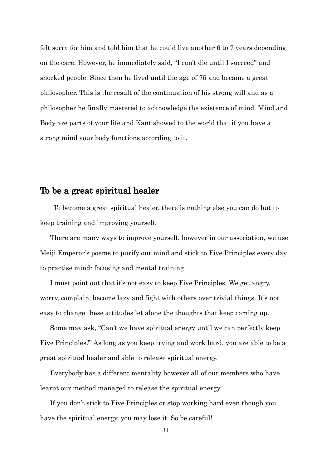felt sorry for him and told him that he could live another 6 to 7 years depending on the care. However, he immediately said, "I can't die until I succeed" and shocked people. Since then he lived until the age of 75 and became a great philosopher. This is the result of the continuation of his strong will and as a philosopher he finally mastered to acknowledge the existence of mind. Mind and Body are parts of your life and Kant showed to the world that if you have a strong mind your body functions according to it.

# To be a great spiritual healer

 To become a great spiritual healer, there is nothing else you can do but to keep training and improving yourself.

 There are many ways to improve yourself, however in our association, we use Meiji Emperor's poems to purify our mind and stick to Five Principles every day to practise mind- focusing and mental training

I must point out that it's not easy to keep Five Principles. We get angry, worry, complain, become lazy and fight with others over trivial things. It's not easy to change these attitudes let alone the thoughts that keep coming up.

Some may ask, "Can't we have spiritual energy until we can perfectly keep Five Principles?" As long as you keep trying and work hard, you are able to be a great spiritual healer and able to release spiritual energy.

Everybody has a different mentality however all of our members who have learnt our method managed to release the spiritual energy.

If you don't stick to Five Principles or stop working hard even though you have the spiritual energy, you may lose it. So be careful!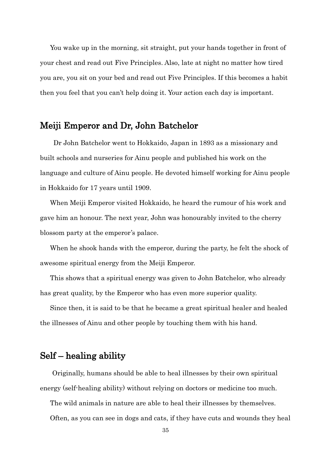You wake up in the morning, sit straight, put your hands together in front of your chest and read out Five Principles. Also, late at night no matter how tired you are, you sit on your bed and read out Five Principles. If this becomes a habit then you feel that you can't help doing it. Your action each day is important.

# Meiji Emperor and Dr, John Batchelor

 Dr John Batchelor went to Hokkaido, Japan in 1893 as a missionary and built schools and nurseries for Ainu people and published his work on the language and culture of Ainu people. He devoted himself working for Ainu people in Hokkaido for 17 years until 1909.

 When Meiji Emperor visited Hokkaido, he heard the rumour of his work and gave him an honour. The next year, John was honourably invited to the cherry blossom party at the emperor's palace.

When he shook hands with the emperor, during the party, he felt the shock of awesome spiritual energy from the Meiji Emperor.

 This shows that a spiritual energy was given to John Batchelor, who already has great quality, by the Emperor who has even more superior quality.

 Since then, it is said to be that he became a great spiritual healer and healed the illnesses of Ainu and other people by touching them with his hand.

# Self – healing ability

 Originally, humans should be able to heal illnesses by their own spiritual energy (self-healing ability) without relying on doctors or medicine too much.

The wild animals in nature are able to heal their illnesses by themselves.

Often, as you can see in dogs and cats, if they have cuts and wounds they heal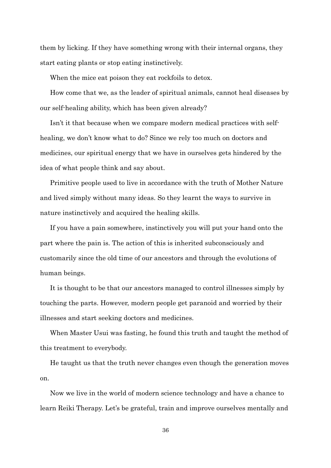them by licking. If they have something wrong with their internal organs, they start eating plants or stop eating instinctively.

When the mice eat poison they eat rockfoils to detox.

 How come that we, as the leader of spiritual animals, cannot heal diseases by our self-healing ability, which has been given already?

 Isn't it that because when we compare modern medical practices with selfhealing, we don't know what to do? Since we rely too much on doctors and medicines, our spiritual energy that we have in ourselves gets hindered by the idea of what people think and say about.

Primitive people used to live in accordance with the truth of Mother Nature and lived simply without many ideas. So they learnt the ways to survive in nature instinctively and acquired the healing skills.

If you have a pain somewhere, instinctively you will put your hand onto the part where the pain is. The action of this is inherited subconsciously and customarily since the old time of our ancestors and through the evolutions of human beings.

It is thought to be that our ancestors managed to control illnesses simply by touching the parts. However, modern people get paranoid and worried by their illnesses and start seeking doctors and medicines.

When Master Usui was fasting, he found this truth and taught the method of this treatment to everybody.

He taught us that the truth never changes even though the generation moves on.

Now we live in the world of modern science technology and have a chance to learn Reiki Therapy. Let's be grateful, train and improve ourselves mentally and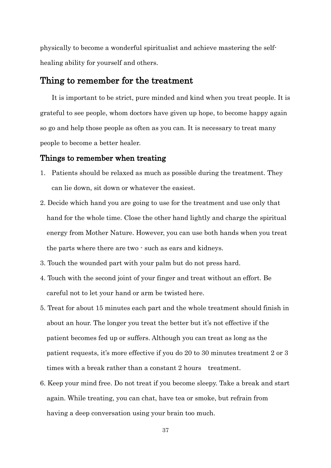physically to become a wonderful spiritualist and achieve mastering the selfhealing ability for yourself and others.

# Thing to remember for the treatment

 It is important to be strict, pure minded and kind when you treat people. It is grateful to see people, whom doctors have given up hope, to become happy again so go and help those people as often as you can. It is necessary to treat many people to become a better healer.

#### Things to remember when treating

- 1. Patients should be relaxed as much as possible during the treatment. They can lie down, sit down or whatever the easiest.
- 2. Decide which hand you are going to use for the treatment and use only that hand for the whole time. Close the other hand lightly and charge the spiritual energy from Mother Nature. However, you can use both hands when you treat the parts where there are two - such as ears and kidneys.
- 3. Touch the wounded part with your palm but do not press hard.
- 4. Touch with the second joint of your finger and treat without an effort. Be careful not to let your hand or arm be twisted here.
- 5. Treat for about 15 minutes each part and the whole treatment should finish in about an hour. The longer you treat the better but it's not effective if the patient becomes fed up or suffers. Although you can treat as long as the patient requests, it's more effective if you do 20 to 30 minutes treatment 2 or 3 times with a break rather than a constant 2 hours treatment.
- 6. Keep your mind free. Do not treat if you become sleepy. Take a break and start again. While treating, you can chat, have tea or smoke, but refrain from having a deep conversation using your brain too much.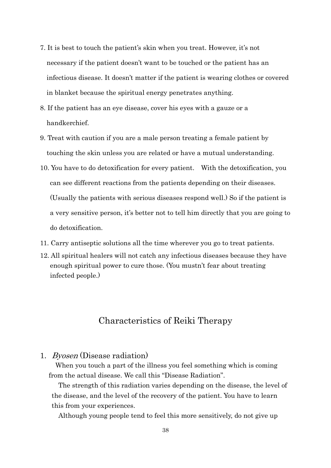- 7. It is best to touch the patient's skin when you treat. However, it's not necessary if the patient doesn't want to be touched or the patient has an infectious disease. It doesn't matter if the patient is wearing clothes or covered in blanket because the spiritual energy penetrates anything.
- 8. If the patient has an eye disease, cover his eyes with a gauze or a handkerchief.
- 9. Treat with caution if you are a male person treating a female patient by touching the skin unless you are related or have a mutual understanding.
- 10. You have to do detoxification for every patient. With the detoxification, you can see different reactions from the patients depending on their diseases. (Usually the patients with serious diseases respond well.) So if the patient is a very sensitive person, it's better not to tell him directly that you are going to do detoxification.
- 11. Carry antiseptic solutions all the time wherever you go to treat patients.
- 12. All spiritual healers will not catch any infectious diseases because they have enough spiritual power to cure those. (You mustn't fear about treating infected people.)

# Characteristics of Reiki Therapy

#### 1. Byosen (Disease radiation)

When you touch a part of the illness you feel something which is coming from the actual disease. We call this "Disease Radiation".

 The strength of this radiation varies depending on the disease, the level of the disease, and the level of the recovery of the patient. You have to learn this from your experiences.

Although young people tend to feel this more sensitively, do not give up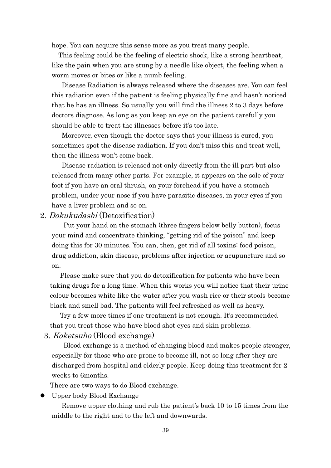hope. You can acquire this sense more as you treat many people.

This feeling could be the feeling of electric shock, like a strong heartbeat, like the pain when you are stung by a needle like object, the feeling when a worm moves or bites or like a numb feeling.

Disease Radiation is always released where the diseases are. You can feel this radiation even if the patient is feeling physically fine and hasn't noticed that he has an illness. So usually you will find the illness 2 to 3 days before doctors diagnose. As long as you keep an eye on the patient carefully you should be able to treat the illnesses before it's too late.

Moreover, even though the doctor says that your illness is cured, you sometimes spot the disease radiation. If you don't miss this and treat well, then the illness won't come back.

Disease radiation is released not only directly from the ill part but also released from many other parts. For example, it appears on the sole of your foot if you have an oral thrush, on your forehead if you have a stomach problem, under your nose if you have parasitic diseases, in your eyes if you have a liver problem and so on.

#### 2. Dokukudashi (Detoxification)

 Put your hand on the stomach (three fingers below belly button), focus your mind and concentrate thinking, "getting rid of the poison" and keep doing this for 30 minutes. You can, then, get rid of all toxins: food poison, drug addiction, skin disease, problems after injection or acupuncture and so on.

 Please make sure that you do detoxification for patients who have been taking drugs for a long time. When this works you will notice that their urine colour becomes white like the water after you wash rice or their stools become black and smell bad. The patients will feel refreshed as well as heavy.

 Try a few more times if one treatment is not enough. It's recommended that you treat those who have blood shot eyes and skin problems.

3. Koketsuho (Blood exchange)

 Blood exchange is a method of changing blood and makes people stronger, especially for those who are prone to become ill, not so long after they are discharged from hospital and elderly people. Keep doing this treatment for 2 weeks to 6months.

There are two ways to do Blood exchange.

Upper body Blood Exchange

Remove upper clothing and rub the patient's back 10 to 15 times from the middle to the right and to the left and downwards.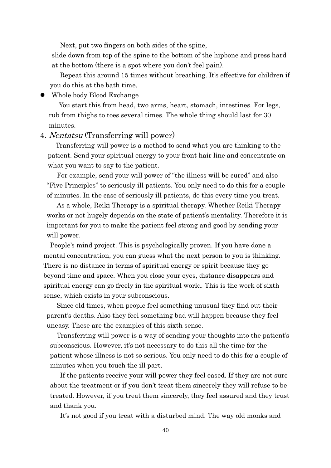Next, put two fingers on both sides of the spine,

slide down from top of the spine to the bottom of the hipbone and press hard at the bottom (there is a spot where you don't feel pain).

 Repeat this around 15 times without breathing. It's effective for children if you do this at the bath time.

Whole body Blood Exchange

You start this from head, two arms, heart, stomach, intestines. For legs, rub from thighs to toes several times. The whole thing should last for 30 minutes.

#### 4. Nentatsu (Transferring will power)

 Transferring will power is a method to send what you are thinking to the patient. Send your spiritual energy to your front hair line and concentrate on what you want to say to the patient.

 For example, send your will power of "the illness will be cured" and also "Five Principles" to seriously ill patients. You only need to do this for a couple of minutes. In the case of seriously ill patients, do this every time you treat.

 As a whole, Reiki Therapy is a spiritual therapy. Whether Reiki Therapy works or not hugely depends on the state of patient's mentality. Therefore it is important for you to make the patient feel strong and good by sending your will power.

 People's mind project. This is psychologically proven. If you have done a mental concentration, you can guess what the next person to you is thinking. There is no distance in terms of spiritual energy or spirit because they go beyond time and space. When you close your eyes, distance disappears and spiritual energy can go freely in the spiritual world. This is the work of sixth sense, which exists in your subconscious.

 Since old times, when people feel something unusual they find out their parent's deaths. Also they feel something bad will happen because they feel uneasy. These are the examples of this sixth sense.

 Transferring will power is a way of sending your thoughts into the patient's subconscious. However, it's not necessary to do this all the time for the patient whose illness is not so serious. You only need to do this for a couple of minutes when you touch the ill part.

 If the patients receive your will power they feel eased. If they are not sure about the treatment or if you don't treat them sincerely they will refuse to be treated. However, if you treat them sincerely, they feel assured and they trust and thank you.

It's not good if you treat with a disturbed mind. The way old monks and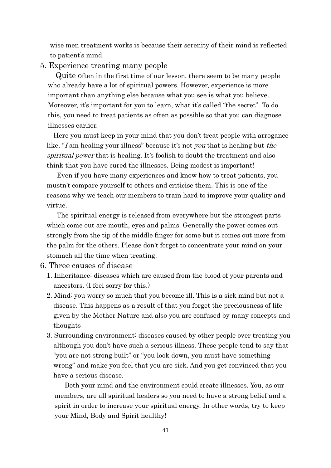wise men treatment works is because their serenity of their mind is reflected to patient's mind.

#### 5. Experience treating many people

 Quite often in the first time of our lesson, there seem to be many people who already have a lot of spiritual powers. However, experience is more important than anything else because what you see is what you believe. Moreover, it's important for you to learn, what it's called "the secret". To do this, you need to treat patients as often as possible so that you can diagnose illnesses earlier.

 Here you must keep in your mind that you don't treat people with arrogance like, "I am healing your illness" because it's not you that is healing but the spiritual power that is healing. It's foolish to doubt the treatment and also think that you have cured the illnesses. Being modest is important!

 Even if you have many experiences and know how to treat patients, you mustn't compare yourself to others and criticise them. This is one of the reasons why we teach our members to train hard to improve your quality and virtue.

 The spiritual energy is released from everywhere but the strongest parts which come out are mouth, eyes and palms. Generally the power comes out strongly from the tip of the middle finger for some but it comes out more from the palm for the others. Please don't forget to concentrate your mind on your stomach all the time when treating.

6. Three causes of disease

- 1. Inheritance: diseases which are caused from the blood of your parents and ancestors. (I feel sorry for this.)
- 2. Mind: you worry so much that you become ill. This is a sick mind but not a disease. This happens as a result of that you forget the preciousness of life given by the Mother Nature and also you are confused by many concepts and thoughts
- 3. Surrounding environment: diseases caused by other people over treating you although you don't have such a serious illness. These people tend to say that "you are not strong built" or "you look down, you must have something wrong" and make you feel that you are sick. And you get convinced that you have a serious disease.

Both your mind and the environment could create illnesses. You, as our members, are all spiritual healers so you need to have a strong belief and a spirit in order to increase your spiritual energy. In other words, try to keep your Mind, Body and Spirit healthy!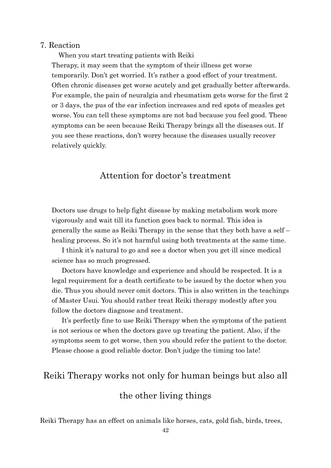#### 7. Reaction

 When you start treating patients with Reiki Therapy, it may seem that the symptom of their illness get worse temporarily. Don't get worried. It's rather a good effect of your treatment. Often chronic diseases get worse acutely and get gradually better afterwards. For example, the pain of neuralgia and rheumatism gets worse for the first 2 or 3 days, the pus of the ear infection increases and red spots of measles get worse. You can tell these symptoms are not bad because you feel good. These symptoms can be seen because Reiki Therapy brings all the diseases out. If you see these reactions, don't worry because the diseases usually recover relatively quickly.

# Attention for doctor's treatment

Doctors use drugs to help fight disease by making metabolism work more vigorously and wait till its function goes back to normal. This idea is generally the same as Reiki Therapy in the sense that they both have a self – healing process. So it's not harmful using both treatments at the same time.

 I think it's natural to go and see a doctor when you get ill since medical science has so much progressed.

 Doctors have knowledge and experience and should be respected. It is a legal requirement for a death certificate to be issued by the doctor when you die. Thus you should never omit doctors. This is also written in the teachings of Master Usui. You should rather treat Reiki therapy modestly after you follow the doctors diagnose and treatment.

 It's perfectly fine to use Reiki Therapy when the symptoms of the patient is not serious or when the doctors gave up treating the patient. Also, if the symptoms seem to get worse, then you should refer the patient to the doctor. Please choose a good reliable doctor. Don't judge the timing too late!

# Reiki Therapy works not only for human beings but also all the other living things

Reiki Therapy has an effect on animals like horses, cats, gold fish, birds, trees,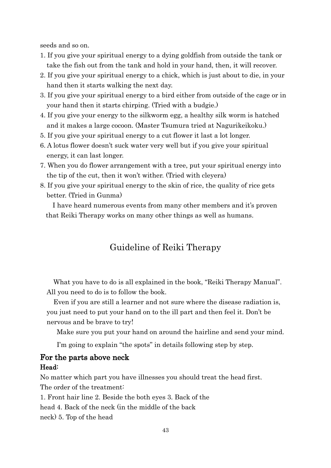seeds and so on.

- 1. If you give your spiritual energy to a dying goldfish from outside the tank or take the fish out from the tank and hold in your hand, then, it will recover.
- 2. If you give your spiritual energy to a chick, which is just about to die, in your hand then it starts walking the next day.
- 3. If you give your spiritual energy to a bird either from outside of the cage or in your hand then it starts chirping. (Tried with a budgie.)
- 4. If you give your energy to the silkworm egg, a healthy silk worm is hatched and it makes a large cocoon. (Master Tsumura tried at Nagurikeikoku.)
- 5. If you give your spiritual energy to a cut flower it last a lot longer.
- 6. A lotus flower doesn't suck water very well but if you give your spiritual energy, it can last longer.
- 7. When you do flower arrangement with a tree, put your spiritual energy into the tip of the cut, then it won't wither. (Tried with cleyera)
- 8. If you give your spiritual energy to the skin of rice, the quality of rice gets better. (Tried in Gunma)

I have heard numerous events from many other members and it's proven that Reiki Therapy works on many other things as well as humans.

# Guideline of Reiki Therapy

 What you have to do is all explained in the book, "Reiki Therapy Manual". All you need to do is to follow the book.

 Even if you are still a learner and not sure where the disease radiation is, you just need to put your hand on to the ill part and then feel it. Don't be nervous and be brave to try!

Make sure you put your hand on around the hairline and send your mind.

I'm going to explain "the spots" in details following step by step.

### For the parts above neck Head:

No matter which part you have illnesses you should treat the head first. The order of the treatment:

1. Front hair line 2. Beside the both eyes 3. Back of the

head 4. Back of the neck (in the middle of the back

neck) 5. Top of the head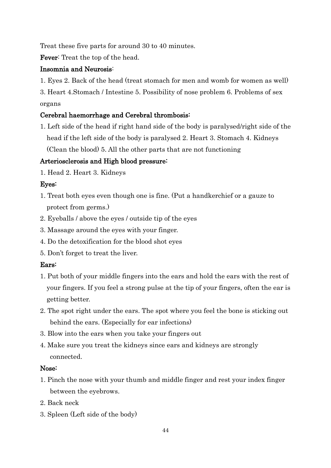Treat these five parts for around 30 to 40 minutes.

Fever: Treat the top of the head.

#### Insomnia and Neurosis:

1. Eyes 2. Back of the head (treat stomach for men and womb for women as well)

3. Heart 4.Stomach / Intestine 5. Possibility of nose problem 6. Problems of sex organs

### Cerebral haemorrhage and Cerebral thrombosis:

1. Left side of the head if right hand side of the body is paralysed/right side of the head if the left side of the body is paralysed 2. Heart 3. Stomach 4. Kidneys (Clean the blood) 5. All the other parts that are not functioning

### Arteriosclerosis and High blood pressure:

1. Head 2. Heart 3. Kidneys

### Eyes:

- 1. Treat both eyes even though one is fine. (Put a handkerchief or a gauze to protect from germs.)
- 2. Eyeballs / above the eyes / outside tip of the eyes
- 3. Massage around the eyes with your finger.
- 4. Do the detoxification for the blood shot eyes
- 5. Don't forget to treat the liver.

### Ears:

- 1. Put both of your middle fingers into the ears and hold the ears with the rest of your fingers. If you feel a strong pulse at the tip of your fingers, often the ear is getting better.
- 2. The spot right under the ears. The spot where you feel the bone is sticking out behind the ears. (Especially for ear infections)
- 3. Blow into the ears when you take your fingers out
- 4. Make sure you treat the kidneys since ears and kidneys are strongly connected.

#### Nose:

- 1. Pinch the nose with your thumb and middle finger and rest your index finger between the eyebrows.
- 2. Back neck
- 3. Spleen (Left side of the body)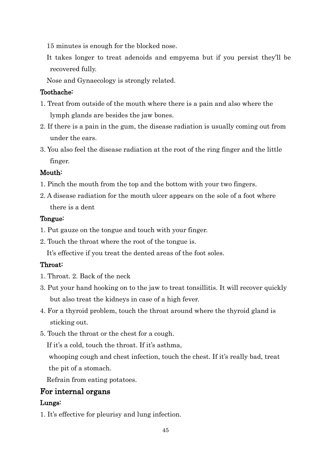15 minutes is enough for the blocked nose.

 It takes longer to treat adenoids and empyema but if you persist they'll be recovered fully.

Nose and Gynaecology is strongly related.

#### Toothache:

- 1. Treat from outside of the mouth where there is a pain and also where the lymph glands are besides the jaw bones.
- 2. If there is a pain in the gum, the disease radiation is usually coming out from under the ears.
- 3. You also feel the disease radiation at the root of the ring finger and the little finger.

### Mouth:

- 1. Pinch the mouth from the top and the bottom with your two fingers.
- 2. A disease radiation for the mouth ulcer appears on the sole of a foot where there is a dent

#### Tongue:

- 1. Put gauze on the tongue and touch with your finger.
- 2. Touch the throat where the root of the tongue is.

It's effective if you treat the dented areas of the foot soles.

### Throat:

- 1. Throat. 2. Back of the neck
- 3. Put your hand hooking on to the jaw to treat tonsillitis. It will recover quickly but also treat the kidneys in case of a high fever.
- 4. For a thyroid problem, touch the throat around where the thyroid gland is sticking out.
- 5. Touch the throat or the chest for a cough.

If it's a cold, touch the throat. If it's asthma,

whooping cough and chest infection, touch the chest. If it's really bad, treat the pit of a stomach.

Refrain from eating potatoes.

# For internal organs

### Lungs:

1. It's effective for pleurisy and lung infection.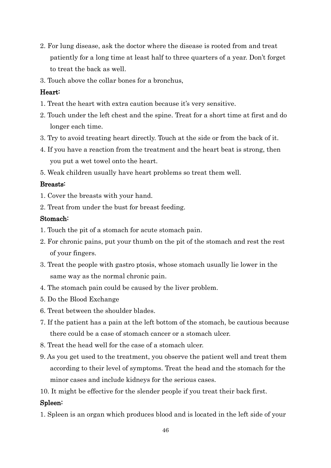- 2. For lung disease, ask the doctor where the disease is rooted from and treat patiently for a long time at least half to three quarters of a year. Don't forget to treat the back as well.
- 3. Touch above the collar bones for a bronchus,

#### Heart:

- 1. Treat the heart with extra caution because it's very sensitive.
- 2. Touch under the left chest and the spine. Treat for a short time at first and do longer each time.
- 3. Try to avoid treating heart directly. Touch at the side or from the back of it.
- 4. If you have a reaction from the treatment and the heart beat is strong, then you put a wet towel onto the heart.
- 5. Weak children usually have heart problems so treat them well.

#### Breasts:

- 1. Cover the breasts with your hand.
- 2. Treat from under the bust for breast feeding.

#### Stomach:

- 1. Touch the pit of a stomach for acute stomach pain.
- 2. For chronic pains, put your thumb on the pit of the stomach and rest the rest of your fingers.
- 3. Treat the people with gastro ptosis, whose stomach usually lie lower in the same way as the normal chronic pain.
- 4. The stomach pain could be caused by the liver problem.
- 5. Do the Blood Exchange
- 6. Treat between the shoulder blades.
- 7. If the patient has a pain at the left bottom of the stomach, be cautious because there could be a case of stomach cancer or a stomach ulcer.
- 8. Treat the head well for the case of a stomach ulcer.
- 9. As you get used to the treatment, you observe the patient well and treat them according to their level of symptoms. Treat the head and the stomach for the minor cases and include kidneys for the serious cases.
- 10. It might be effective for the slender people if you treat their back first.

#### Spleen:

1. Spleen is an organ which produces blood and is located in the left side of your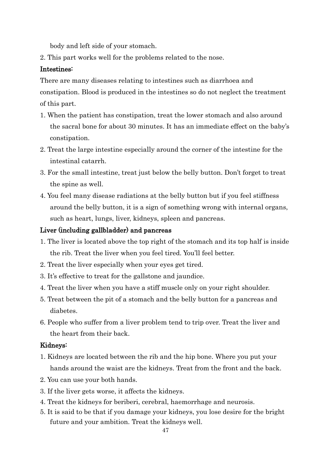body and left side of your stomach.

2. This part works well for the problems related to the nose.

#### Intestines:

There are many diseases relating to intestines such as diarrhoea and constipation. Blood is produced in the intestines so do not neglect the treatment of this part.

- 1. When the patient has constipation, treat the lower stomach and also around the sacral bone for about 30 minutes. It has an immediate effect on the baby's constipation.
- 2. Treat the large intestine especially around the corner of the intestine for the intestinal catarrh.
- 3. For the small intestine, treat just below the belly button. Don't forget to treat the spine as well.
- 4. You feel many disease radiations at the belly button but if you feel stiffness around the belly button, it is a sign of something wrong with internal organs, such as heart, lungs, liver, kidneys, spleen and pancreas.

#### Liver (including gallbladder) and pancreas

- 1. The liver is located above the top right of the stomach and its top half is inside the rib. Treat the liver when you feel tired. You'll feel better.
- 2. Treat the liver especially when your eyes get tired.
- 3. It's effective to treat for the gallstone and jaundice.
- 4. Treat the liver when you have a stiff muscle only on your right shoulder.
- 5. Treat between the pit of a stomach and the belly button for a pancreas and diabetes.
- 6. People who suffer from a liver problem tend to trip over. Treat the liver and the heart from their back.

#### Kidneys:

- 1. Kidneys are located between the rib and the hip bone. Where you put your hands around the waist are the kidneys. Treat from the front and the back.
- 2. You can use your both hands.
- 3. If the liver gets worse, it affects the kidneys.
- 4. Treat the kidneys for beriberi, cerebral, haemorrhage and neurosis.
- 5. It is said to be that if you damage your kidneys, you lose desire for the bright future and your ambition. Treat the kidneys well.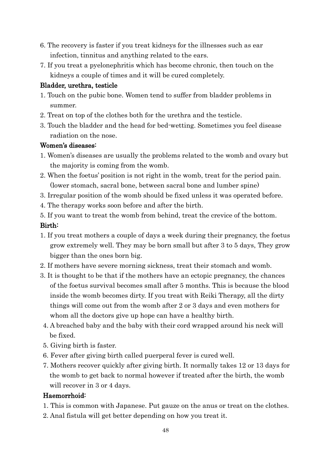- 6. The recovery is faster if you treat kidneys for the illnesses such as ear infection, tinnitus and anything related to the ears.
- 7. If you treat a pyelonephritis which has become chronic, then touch on the kidneys a couple of times and it will be cured completely.

### Bladder, urethra, testicle

- 1. Touch on the pubic bone. Women tend to suffer from bladder problems in summer.
- 2. Treat on top of the clothes both for the urethra and the testicle.
- 3. Touch the bladder and the head for bed-wetting. Sometimes you feel disease radiation on the nose.

### Women's diseases:

- 1. Women's diseases are usually the problems related to the womb and ovary but the majority is coming from the womb.
- 2. When the foetus' position is not right in the womb, treat for the period pain. (lower stomach, sacral bone, between sacral bone and lumber spine)
- 3. Irregular position of the womb should be fixed unless it was operated before.
- 4. The therapy works soon before and after the birth.
- 5. If you want to treat the womb from behind, treat the crevice of the bottom.

### Birth:

- 1. If you treat mothers a couple of days a week during their pregnancy, the foetus grow extremely well. They may be born small but after 3 to 5 days, They grow bigger than the ones born big.
- 2. If mothers have severe morning sickness, treat their stomach and womb.
- 3. It is thought to be that if the mothers have an ectopic pregnancy, the chances of the foetus survival becomes small after 5 months. This is because the blood inside the womb becomes dirty. If you treat with Reiki Therapy, all the dirty things will come out from the womb after 2 or 3 days and even mothers for whom all the doctors give up hope can have a healthy birth.
- 4. A breached baby and the baby with their cord wrapped around his neck will be fixed.
- 5. Giving birth is faster.
- 6. Fever after giving birth called puerperal fever is cured well.
- 7. Mothers recover quickly after giving birth. It normally takes 12 or 13 days for the womb to get back to normal however if treated after the birth, the womb will recover in 3 or 4 days.

# Haemorrhoid:

- 1. This is common with Japanese. Put gauze on the anus or treat on the clothes.
- 2. Anal fistula will get better depending on how you treat it.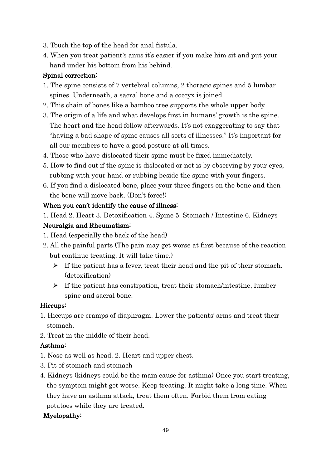- 3. Touch the top of the head for anal fistula.
- 4. When you treat patient's anus it's easier if you make him sit and put your hand under his bottom from his behind.

### Spinal correction:

- 1. The spine consists of 7 vertebral columns, 2 thoracic spines and 5 lumbar spines. Underneath, a sacral bone and a coccyx is joined.
- 2. This chain of bones like a bamboo tree supports the whole upper body.
- 3. The origin of a life and what develops first in humans' growth is the spine. The heart and the head follow afterwards. It's not exaggerating to say that "having a bad shape of spine causes all sorts of illnesses." It's important for all our members to have a good posture at all times.
- 4. Those who have dislocated their spine must be fixed immediately.
- 5. How to find out if the spine is dislocated or not is by observing by your eyes, rubbing with your hand or rubbing beside the spine with your fingers.
- 6. If you find a dislocated bone, place your three fingers on the bone and then the bone will move back. (Don't force!)

### When you can't identify the cause of illness:

1. Head 2. Heart 3. Detoxification 4. Spine 5. Stomach / Intestine 6. Kidneys

### Neuralgia and Rheumatism:

- 1. Head (especially the back of the head)
- 2. All the painful parts (The pain may get worse at first because of the reaction but continue treating. It will take time.)
	- $\triangleright$  If the patient has a fever, treat their head and the pit of their stomach. (detoxification)
	- $\triangleright$  If the patient has constipation, treat their stomach/intestine, lumber spine and sacral bone.

### Hiccups:

- 1. Hiccups are cramps of diaphragm. Lower the patients' arms and treat their stomach.
- 2. Treat in the middle of their head.

# Asthma:

- 1. Nose as well as head. 2. Heart and upper chest.
- 3. Pit of stomach and stomach
- 4. Kidneys (kidneys could be the main cause for asthma) Once you start treating, the symptom might get worse. Keep treating. It might take a long time. When they have an asthma attack, treat them often. Forbid them from eating potatoes while they are treated.

### Myelopathy: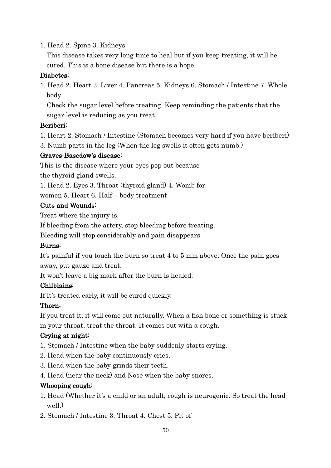1. Head 2. Spine 3. Kidneys

 This disease takes very long time to heal but if you keep treating, it will be cured. This is a bone disease but there is a hope.

### Diabetes:

1. Head 2. Heart 3. Liver 4. Pancreas 5. Kidneys 6. Stomach / Intestine 7. Whole body

 Check the sugar level before treating. Keep reminding the patients that the sugar level is reducing as you treat.

# Beriberi:

- 1. Heart 2. Stomach / Intestine (Stomach becomes very hard if you have beriberi)
- 3. Numb parts in the leg (When the leg swells it often gets numb.)

### Graves-Basedow's disease:

This is the disease where your eyes pop out because

the thyroid gland swells.

1. Head 2. Eyes 3. Throat (thyroid gland) 4. Womb for

women 5. Heart 6. Half – body treatment

### Cuts and Wounds:

Treat where the injury is.

If bleeding from the artery, stop bleeding before treating.

Bleeding will stop considerably and pain disappears.

### Burns:

It's painful if you touch the burn so treat 4 to 5 mm above. Once the pain goes away, put gauze and treat.

It won't leave a big mark after the burn is healed.

### Chilblains:

If it's treated early, it will be cured quickly.

### Thorn:

If you treat it, it will come out naturally. When a fish bone or something is stuck in your throat, treat the throat. It comes out with a cough.

# Crying at night:

- 1. Stomach / Intestine when the baby suddenly starts crying.
- 2. Head when the baby continuously cries.
- 3. Head when the baby grinds their teeth.
- 4. Head (near the neck) and Nose when the baby snores.

# Whooping cough:

- 1. Head (Whether it's a child or an adult, cough is neurogenic. So treat the head well.)
- 2. Stomach / Intestine 3. Throat 4. Chest 5. Pit of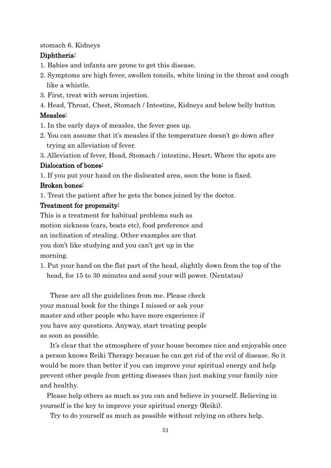#### stomach 6. Kidneys

#### Diphtheria:

- 1. Babies and infants are prone to get this disease.
- 2. Symptoms are high fever, swollen tonsils, white lining in the throat and cough like a whistle.
- 3. First, treat with serum injection.

4. Head, Throat, Chest, Stomach / Intestine, Kidneys and below belly button

#### Measles:

- 1. In the early days of measles, the fever goes up.
- 2. You can assume that it's measles if the temperature doesn't go down after trying an alleviation of fever.

3. Alleviation of fever, Head, Stomach / intestine, Heart, Where the spots are

#### Dislocation of bones:

1. If you put your hand on the dislocated area, soon the bone is fixed.

#### Broken bones:

1. Treat the patient after he gets the bones joined by the doctor.

#### Treatment for propensity:

This is a treatment for habitual problems such as motion sickness (cars, boats etc), food preference and an inclination of stealing. Other examples are that you don't like studying and you can't get up in the morning.

1. Put your hand on the flat part of the head, slightly down from the top of the head, for 15 to 30 minutes and send your will power. (Nentatsu)

 These are all the guidelines from me. Please check your manual book for the things I missed or ask your master and other people who have more experience if you have any questions. Anyway, start treating people as soon as possible.

It's clear that the atmosphere of your house becomes nice and enjoyable once a person knows Reiki Therapy because he can get rid of the evil of disease. So it would be more than better if you can improve your spiritual energy and help prevent other people from getting diseases than just making your family nice and healthy.

Please help others as much as you can and believe in yourself. Believing in yourself is the key to improve your spiritual energy (Reiki).

Try to do yourself as much as possible without relying on others help.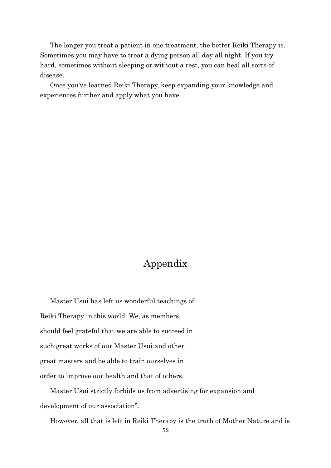The longer you treat a patient in one treatment, the better Reiki Therapy is. Sometimes you may have to treat a dying person all day all night. If you try hard, sometimes without sleeping or without a rest, you can heal all sorts of disease.

Once you've learned Reiki Therapy, keep expanding your knowledge and experiences further and apply what you have.

# Appendix

Master Usui has left us wonderful teachings of Reiki Therapy in this world. We, as members, should feel grateful that we are able to succeed in such great works of our Master Usui and other great masters and be able to train ourselves in order to improve our health and that of others.

 Master Usui strictly forbids us from advertising for expansion and development of our association".

However, all that is left in Reiki Therapy is the truth of Mother Nature and is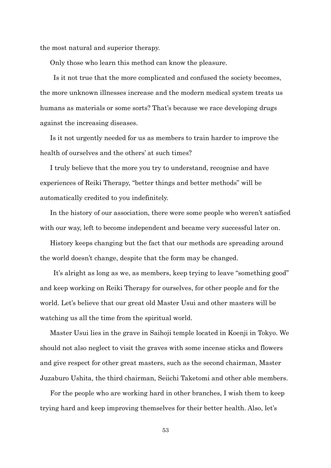the most natural and superior therapy.

Only those who learn this method can know the pleasure.

 Is it not true that the more complicated and confused the society becomes, the more unknown illnesses increase and the modern medical system treats us humans as materials or some sorts? That's because we race developing drugs against the increasing diseases.

 Is it not urgently needed for us as members to train harder to improve the health of ourselves and the others' at such times?

 I truly believe that the more you try to understand, recognise and have experiences of Reiki Therapy, "better things and better methods" will be automatically credited to you indefinitely.

 In the history of our association, there were some people who weren't satisfied with our way, left to become independent and became very successful later on.

 History keeps changing but the fact that our methods are spreading around the world doesn't change, despite that the form may be changed.

 It's alright as long as we, as members, keep trying to leave "something good" and keep working on Reiki Therapy for ourselves, for other people and for the world. Let's believe that our great old Master Usui and other masters will be watching us all the time from the spiritual world.

 Master Usui lies in the grave in Saihoji temple located in Koenji in Tokyo. We should not also neglect to visit the graves with some incense sticks and flowers and give respect for other great masters, such as the second chairman, Master Juzaburo Ushita, the third chairman, Seiichi Taketomi and other able members.

 For the people who are working hard in other branches, I wish them to keep trying hard and keep improving themselves for their better health. Also, let's